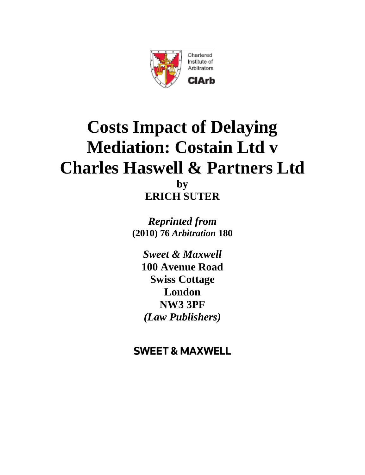

### Chartered Institute of Arbitrators

ClArb

# **Costs Impact of Delaying Mediation: Costain Ltd v Charles Haswell & Partners Ltd by ERICH SUTER**

*Reprinted from* **(2010) 76** *Arbitration* **180**

*Sweet & Maxwell*  **100 Avenue Road Swiss Cottage London NW3 3PF** *(Law Publishers)*

## **SWEET & MAXWELL**